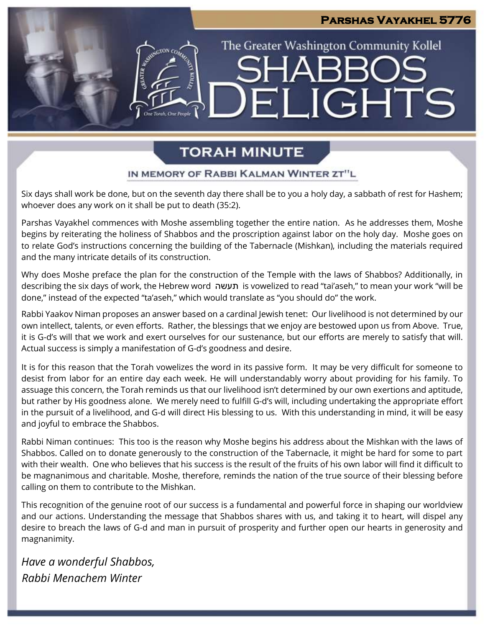# **Parshas Vayakhel 5776**

The Greater Washington Community Kollel

ELIGHTS

SHARR

# **TORAH MINUTE**

## IN MEMORY OF RABBI KALMAN WINTER ZT"L

Six days shall work be done, but on the seventh day there shall be to you a holy day, a sabbath of rest for Hashem; whoever does any work on it shall be put to death (35:2).

Parshas Vayakhel commences with Moshe assembling together the entire nation. As he addresses them, Moshe begins by reiterating the holiness of Shabbos and the proscription against labor on the holy day. Moshe goes on to relate God's instructions concerning the building of the Tabernacle (Mishkan), including the materials required and the many intricate details of its construction.

Why does Moshe preface the plan for the construction of the Temple with the laws of Shabbos? Additionally, in describing the six days of work, the Hebrew word תעשה is vowelized to read "tai'aseh," to mean your work "will be done," instead of the expected "ta'aseh," which would translate as "you should do" the work.

Rabbi Yaakov Niman proposes an answer based on a cardinal Jewish tenet: Our livelihood is not determined by our own intellect, talents, or even efforts. Rather, the blessings that we enjoy are bestowed upon us from Above. True, it is G-d's will that we work and exert ourselves for our sustenance, but our efforts are merely to satisfy that will. Actual success is simply a manifestation of G-d's goodness and desire.

It is for this reason that the Torah vowelizes the word in its passive form. It may be very difficult for someone to desist from labor for an entire day each week. He will understandably worry about providing for his family. To assuage this concern, the Torah reminds us that our livelihood isn't determined by our own exertions and aptitude, but rather by His goodness alone. We merely need to fulfill G-d's will, including undertaking the appropriate effort in the pursuit of a livelihood, and G-d will direct His blessing to us. With this understanding in mind, it will be easy and joyful to embrace the Shabbos.

Rabbi Niman continues: This too is the reason why Moshe begins his address about the Mishkan with the laws of Shabbos. Called on to donate generously to the construction of the Tabernacle, it might be hard for some to part with their wealth. One who believes that his success is the result of the fruits of his own labor will find it difficult to be magnanimous and charitable. Moshe, therefore, reminds the nation of the true source of their blessing before calling on them to contribute to the Mishkan.

This recognition of the genuine root of our success is a fundamental and powerful force in shaping our worldview and our actions. Understanding the message that Shabbos shares with us, and taking it to heart, will dispel any desire to breach the laws of G-d and man in pursuit of prosperity and further open our hearts in generosity and magnanimity.

*Have a wonderful Shabbos, Rabbi Menachem Winter*